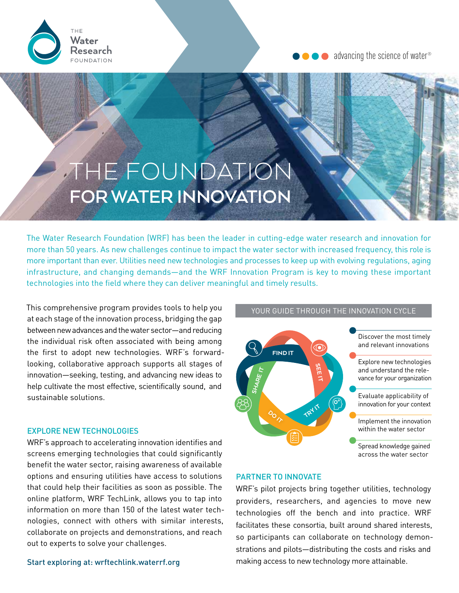

 $\bullet$  advancing the science of water®

# THE FOUNDATION **FOR WATER INNOVATION**

The Water Research Foundation (WRF) has been the leader in cutting-edge water research and innovation for more than 50 years. As new challenges continue to impact the water sector with increased frequency, this role is more important than ever. Utilities need new technologies and processes to keep up with evolving regulations, aging infrastructure, and changing demands—and the WRF Innovation Program is key to moving these important technologies into the field where they can deliver meaningful and timely results.

This comprehensive program provides tools to help you at each stage of the innovation process, bridging the gap between new advances and the water sector—and reducing the individual risk often associated with being among the first to adopt new technologies. WRF's forwardlooking, collaborative approach supports all stages of innovation—seeking, testing, and advancing new ideas to help cultivate the most effective, scientifically sound, and sustainable solutions.

### EXPLORE NEW TECHNOLOGIES

WRF's approach to accelerating innovation identifies and screens emerging technologies that could significantly benefit the water sector, raising awareness of available options and ensuring utilities have access to solutions that could help their facilities as soon as possible. The online platform, WRF TechLink, allows you to tap into information on more than 150 of the latest water technologies, connect with others with similar interests, collaborate on projects and demonstrations, and reach out to experts to solve your challenges.

Start exploring at: [wrftechlink.waterrf.org](https://wrftechlink.waterrf.org/)



YOUR GUIDE THROUGH THE INNOVATION CYCLE

### PARTNER TO INNOVATE

WRF's pilot projects bring together utilities, technology providers, researchers, and agencies to move new technologies off the bench and into practice. WRF facilitates these consortia, built around shared interests, so participants can collaborate on technology demonstrations and pilots—distributing the costs and risks and making access to new technology more attainable.